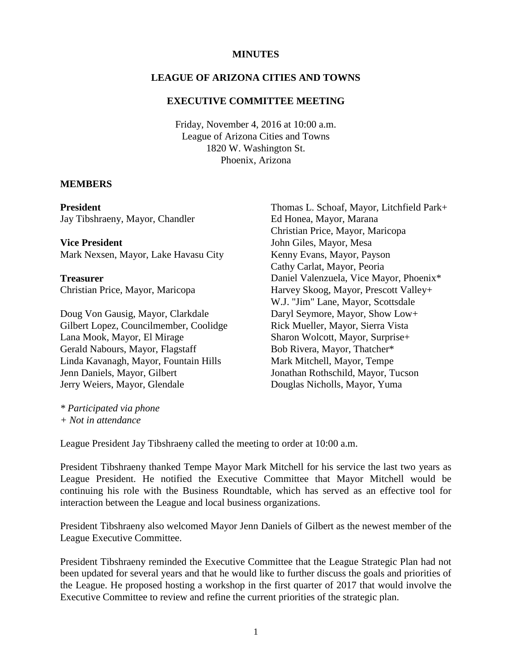#### **MINUTES**

#### **LEAGUE OF ARIZONA CITIES AND TOWNS**

#### **EXECUTIVE COMMITTEE MEETING**

Friday, November 4, 2016 at 10:00 a.m. League of Arizona Cities and Towns 1820 W. Washington St. Phoenix, Arizona

#### **MEMBERS**

**President**

Jay Tibshraeny, Mayor, Chandler

**Vice President** Mark Nexsen, Mayor, Lake Havasu City

**Treasurer** Christian Price, Mayor, Maricopa

Doug Von Gausig, Mayor, Clarkdale Gilbert Lopez, Councilmember, Coolidge Lana Mook, Mayor, El Mirage Gerald Nabours, Mayor, Flagstaff Linda Kavanagh, Mayor, Fountain Hills Jenn Daniels, Mayor, Gilbert Jerry Weiers, Mayor, Glendale

Thomas L. Schoaf, Mayor, Litchfield Park+ Ed Honea, Mayor, Marana Christian Price, Mayor, Maricopa John Giles, Mayor, Mesa Kenny Evans, Mayor, Payson Cathy Carlat, Mayor, Peoria Daniel Valenzuela, Vice Mayor, Phoenix\* Harvey Skoog, Mayor, Prescott Valley+ W.J. "Jim" Lane, Mayor, Scottsdale Daryl Seymore, Mayor, Show Low+ Rick Mueller, Mayor, Sierra Vista Sharon Wolcott, Mayor, Surprise+ Bob Rivera, Mayor, Thatcher\* Mark Mitchell, Mayor, Tempe Jonathan Rothschild, Mayor, Tucson Douglas Nicholls, Mayor, Yuma

*\* Participated via phone + Not in attendance*

League President Jay Tibshraeny called the meeting to order at 10:00 a.m.

President Tibshraeny thanked Tempe Mayor Mark Mitchell for his service the last two years as League President. He notified the Executive Committee that Mayor Mitchell would be continuing his role with the Business Roundtable, which has served as an effective tool for interaction between the League and local business organizations.

President Tibshraeny also welcomed Mayor Jenn Daniels of Gilbert as the newest member of the League Executive Committee.

President Tibshraeny reminded the Executive Committee that the League Strategic Plan had not been updated for several years and that he would like to further discuss the goals and priorities of the League. He proposed hosting a workshop in the first quarter of 2017 that would involve the Executive Committee to review and refine the current priorities of the strategic plan.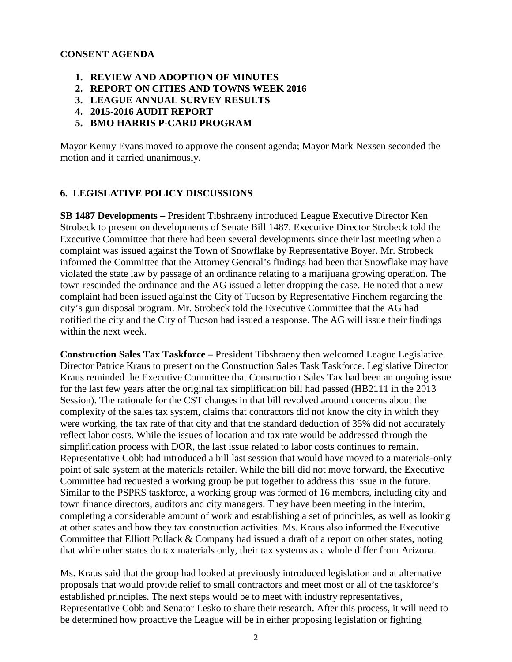### **CONSENT AGENDA**

- **1. REVIEW AND ADOPTION OF MINUTES**
- **2. REPORT ON CITIES AND TOWNS WEEK 2016**
- **3. LEAGUE ANNUAL SURVEY RESULTS**
- **4. 2015-2016 AUDIT REPORT**
- **5. BMO HARRIS P-CARD PROGRAM**

Mayor Kenny Evans moved to approve the consent agenda; Mayor Mark Nexsen seconded the motion and it carried unanimously.

### **6. LEGISLATIVE POLICY DISCUSSIONS**

**SB 1487 Developments –** President Tibshraeny introduced League Executive Director Ken Strobeck to present on developments of Senate Bill 1487. Executive Director Strobeck told the Executive Committee that there had been several developments since their last meeting when a complaint was issued against the Town of Snowflake by Representative Boyer. Mr. Strobeck informed the Committee that the Attorney General's findings had been that Snowflake may have violated the state law by passage of an ordinance relating to a marijuana growing operation. The town rescinded the ordinance and the AG issued a letter dropping the case. He noted that a new complaint had been issued against the City of Tucson by Representative Finchem regarding the city's gun disposal program. Mr. Strobeck told the Executive Committee that the AG had notified the city and the City of Tucson had issued a response. The AG will issue their findings within the next week.

**Construction Sales Tax Taskforce –** President Tibshraeny then welcomed League Legislative Director Patrice Kraus to present on the Construction Sales Task Taskforce. Legislative Director Kraus reminded the Executive Committee that Construction Sales Tax had been an ongoing issue for the last few years after the original tax simplification bill had passed (HB2111 in the 2013 Session). The rationale for the CST changes in that bill revolved around concerns about the complexity of the sales tax system, claims that contractors did not know the city in which they were working, the tax rate of that city and that the standard deduction of 35% did not accurately reflect labor costs. While the issues of location and tax rate would be addressed through the simplification process with DOR, the last issue related to labor costs continues to remain. Representative Cobb had introduced a bill last session that would have moved to a materials-only point of sale system at the materials retailer. While the bill did not move forward, the Executive Committee had requested a working group be put together to address this issue in the future. Similar to the PSPRS taskforce, a working group was formed of 16 members, including city and town finance directors, auditors and city managers. They have been meeting in the interim, completing a considerable amount of work and establishing a set of principles, as well as looking at other states and how they tax construction activities. Ms. Kraus also informed the Executive Committee that Elliott Pollack & Company had issued a draft of a report on other states, noting that while other states do tax materials only, their tax systems as a whole differ from Arizona.

Ms. Kraus said that the group had looked at previously introduced legislation and at alternative proposals that would provide relief to small contractors and meet most or all of the taskforce's established principles. The next steps would be to meet with industry representatives, Representative Cobb and Senator Lesko to share their research. After this process, it will need to be determined how proactive the League will be in either proposing legislation or fighting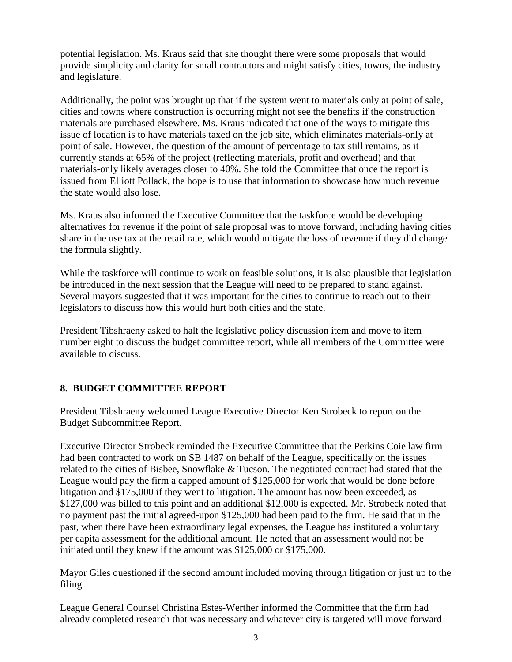potential legislation. Ms. Kraus said that she thought there were some proposals that would provide simplicity and clarity for small contractors and might satisfy cities, towns, the industry and legislature.

Additionally, the point was brought up that if the system went to materials only at point of sale, cities and towns where construction is occurring might not see the benefits if the construction materials are purchased elsewhere. Ms. Kraus indicated that one of the ways to mitigate this issue of location is to have materials taxed on the job site, which eliminates materials-only at point of sale. However, the question of the amount of percentage to tax still remains, as it currently stands at 65% of the project (reflecting materials, profit and overhead) and that materials-only likely averages closer to 40%. She told the Committee that once the report is issued from Elliott Pollack, the hope is to use that information to showcase how much revenue the state would also lose.

Ms. Kraus also informed the Executive Committee that the taskforce would be developing alternatives for revenue if the point of sale proposal was to move forward, including having cities share in the use tax at the retail rate, which would mitigate the loss of revenue if they did change the formula slightly.

While the taskforce will continue to work on feasible solutions, it is also plausible that legislation be introduced in the next session that the League will need to be prepared to stand against. Several mayors suggested that it was important for the cities to continue to reach out to their legislators to discuss how this would hurt both cities and the state.

President Tibshraeny asked to halt the legislative policy discussion item and move to item number eight to discuss the budget committee report, while all members of the Committee were available to discuss.

# **8. BUDGET COMMITTEE REPORT**

President Tibshraeny welcomed League Executive Director Ken Strobeck to report on the Budget Subcommittee Report.

Executive Director Strobeck reminded the Executive Committee that the Perkins Coie law firm had been contracted to work on SB 1487 on behalf of the League, specifically on the issues related to the cities of Bisbee, Snowflake & Tucson. The negotiated contract had stated that the League would pay the firm a capped amount of \$125,000 for work that would be done before litigation and \$175,000 if they went to litigation. The amount has now been exceeded, as \$127,000 was billed to this point and an additional \$12,000 is expected. Mr. Strobeck noted that no payment past the initial agreed-upon \$125,000 had been paid to the firm. He said that in the past, when there have been extraordinary legal expenses, the League has instituted a voluntary per capita assessment for the additional amount. He noted that an assessment would not be initiated until they knew if the amount was \$125,000 or \$175,000.

Mayor Giles questioned if the second amount included moving through litigation or just up to the filing.

League General Counsel Christina Estes-Werther informed the Committee that the firm had already completed research that was necessary and whatever city is targeted will move forward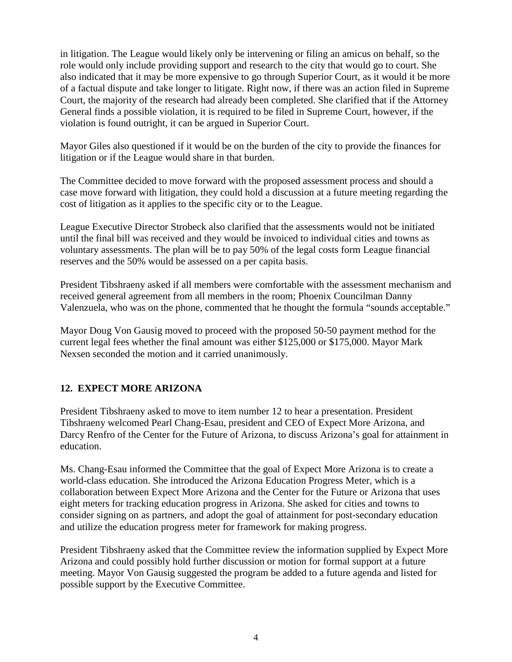in litigation. The League would likely only be intervening or filing an amicus on behalf, so the role would only include providing support and research to the city that would go to court. She also indicated that it may be more expensive to go through Superior Court, as it would it be more of a factual dispute and take longer to litigate. Right now, if there was an action filed in Supreme Court, the majority of the research had already been completed. She clarified that if the Attorney General finds a possible violation, it is required to be filed in Supreme Court, however, if the violation is found outright, it can be argued in Superior Court.

Mayor Giles also questioned if it would be on the burden of the city to provide the finances for litigation or if the League would share in that burden.

The Committee decided to move forward with the proposed assessment process and should a case move forward with litigation, they could hold a discussion at a future meeting regarding the cost of litigation as it applies to the specific city or to the League.

League Executive Director Strobeck also clarified that the assessments would not be initiated until the final bill was received and they would be invoiced to individual cities and towns as voluntary assessments. The plan will be to pay 50% of the legal costs form League financial reserves and the 50% would be assessed on a per capita basis.

President Tibshraeny asked if all members were comfortable with the assessment mechanism and received general agreement from all members in the room; Phoenix Councilman Danny Valenzuela, who was on the phone, commented that he thought the formula "sounds acceptable."

Mayor Doug Von Gausig moved to proceed with the proposed 50-50 payment method for the current legal fees whether the final amount was either \$125,000 or \$175,000. Mayor Mark Nexsen seconded the motion and it carried unanimously.

# **12. EXPECT MORE ARIZONA**

President Tibshraeny asked to move to item number 12 to hear a presentation. President Tibshraeny welcomed Pearl Chang-Esau, president and CEO of Expect More Arizona, and Darcy Renfro of the Center for the Future of Arizona, to discuss Arizona's goal for attainment in education.

Ms. Chang-Esau informed the Committee that the goal of Expect More Arizona is to create a world-class education. She introduced the Arizona Education Progress Meter, which is a collaboration between Expect More Arizona and the Center for the Future or Arizona that uses eight meters for tracking education progress in Arizona. She asked for cities and towns to consider signing on as partners, and adopt the goal of attainment for post-secondary education and utilize the education progress meter for framework for making progress.

President Tibshraeny asked that the Committee review the information supplied by Expect More Arizona and could possibly hold further discussion or motion for formal support at a future meeting. Mayor Von Gausig suggested the program be added to a future agenda and listed for possible support by the Executive Committee.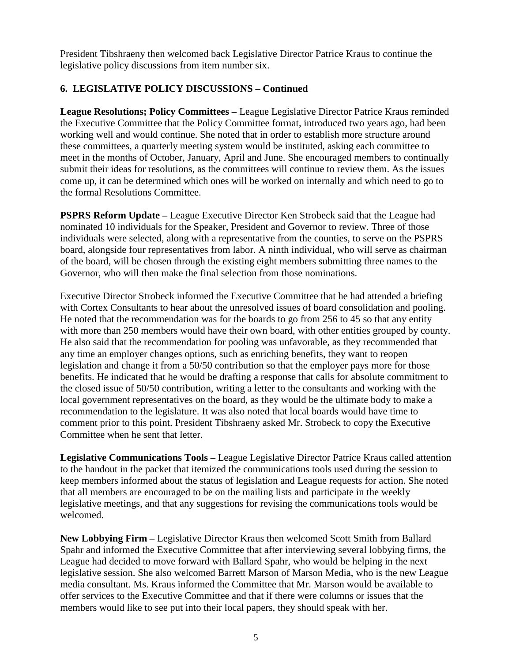President Tibshraeny then welcomed back Legislative Director Patrice Kraus to continue the legislative policy discussions from item number six.

## **6. LEGISLATIVE POLICY DISCUSSIONS – Continued**

**League Resolutions; Policy Committees –** League Legislative Director Patrice Kraus reminded the Executive Committee that the Policy Committee format, introduced two years ago, had been working well and would continue. She noted that in order to establish more structure around these committees, a quarterly meeting system would be instituted, asking each committee to meet in the months of October, January, April and June. She encouraged members to continually submit their ideas for resolutions, as the committees will continue to review them. As the issues come up, it can be determined which ones will be worked on internally and which need to go to the formal Resolutions Committee.

**PSPRS Reform Update –** League Executive Director Ken Strobeck said that the League had nominated 10 individuals for the Speaker, President and Governor to review. Three of those individuals were selected, along with a representative from the counties, to serve on the PSPRS board, alongside four representatives from labor. A ninth individual, who will serve as chairman of the board, will be chosen through the existing eight members submitting three names to the Governor, who will then make the final selection from those nominations.

Executive Director Strobeck informed the Executive Committee that he had attended a briefing with Cortex Consultants to hear about the unresolved issues of board consolidation and pooling. He noted that the recommendation was for the boards to go from 256 to 45 so that any entity with more than 250 members would have their own board, with other entities grouped by county. He also said that the recommendation for pooling was unfavorable, as they recommended that any time an employer changes options, such as enriching benefits, they want to reopen legislation and change it from a 50/50 contribution so that the employer pays more for those benefits. He indicated that he would be drafting a response that calls for absolute commitment to the closed issue of 50/50 contribution, writing a letter to the consultants and working with the local government representatives on the board, as they would be the ultimate body to make a recommendation to the legislature. It was also noted that local boards would have time to comment prior to this point. President Tibshraeny asked Mr. Strobeck to copy the Executive Committee when he sent that letter.

**Legislative Communications Tools –** League Legislative Director Patrice Kraus called attention to the handout in the packet that itemized the communications tools used during the session to keep members informed about the status of legislation and League requests for action. She noted that all members are encouraged to be on the mailing lists and participate in the weekly legislative meetings, and that any suggestions for revising the communications tools would be welcomed.

**New Lobbying Firm –** Legislative Director Kraus then welcomed Scott Smith from Ballard Spahr and informed the Executive Committee that after interviewing several lobbying firms, the League had decided to move forward with Ballard Spahr, who would be helping in the next legislative session. She also welcomed Barrett Marson of Marson Media, who is the new League media consultant. Ms. Kraus informed the Committee that Mr. Marson would be available to offer services to the Executive Committee and that if there were columns or issues that the members would like to see put into their local papers, they should speak with her.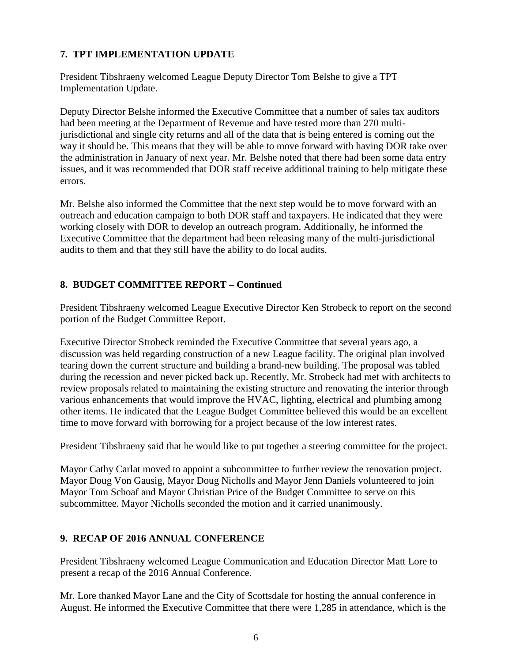## **7. TPT IMPLEMENTATION UPDATE**

President Tibshraeny welcomed League Deputy Director Tom Belshe to give a TPT Implementation Update.

Deputy Director Belshe informed the Executive Committee that a number of sales tax auditors had been meeting at the Department of Revenue and have tested more than 270 multijurisdictional and single city returns and all of the data that is being entered is coming out the way it should be. This means that they will be able to move forward with having DOR take over the administration in January of next year. Mr. Belshe noted that there had been some data entry issues, and it was recommended that DOR staff receive additional training to help mitigate these errors.

Mr. Belshe also informed the Committee that the next step would be to move forward with an outreach and education campaign to both DOR staff and taxpayers. He indicated that they were working closely with DOR to develop an outreach program. Additionally, he informed the Executive Committee that the department had been releasing many of the multi-jurisdictional audits to them and that they still have the ability to do local audits.

# **8. BUDGET COMMITTEE REPORT – Continued**

President Tibshraeny welcomed League Executive Director Ken Strobeck to report on the second portion of the Budget Committee Report.

Executive Director Strobeck reminded the Executive Committee that several years ago, a discussion was held regarding construction of a new League facility. The original plan involved tearing down the current structure and building a brand-new building. The proposal was tabled during the recession and never picked back up. Recently, Mr. Strobeck had met with architects to review proposals related to maintaining the existing structure and renovating the interior through various enhancements that would improve the HVAC, lighting, electrical and plumbing among other items. He indicated that the League Budget Committee believed this would be an excellent time to move forward with borrowing for a project because of the low interest rates.

President Tibshraeny said that he would like to put together a steering committee for the project.

Mayor Cathy Carlat moved to appoint a subcommittee to further review the renovation project. Mayor Doug Von Gausig, Mayor Doug Nicholls and Mayor Jenn Daniels volunteered to join Mayor Tom Schoaf and Mayor Christian Price of the Budget Committee to serve on this subcommittee. Mayor Nicholls seconded the motion and it carried unanimously.

## **9. RECAP OF 2016 ANNUAL CONFERENCE**

President Tibshraeny welcomed League Communication and Education Director Matt Lore to present a recap of the 2016 Annual Conference.

Mr. Lore thanked Mayor Lane and the City of Scottsdale for hosting the annual conference in August. He informed the Executive Committee that there were 1,285 in attendance, which is the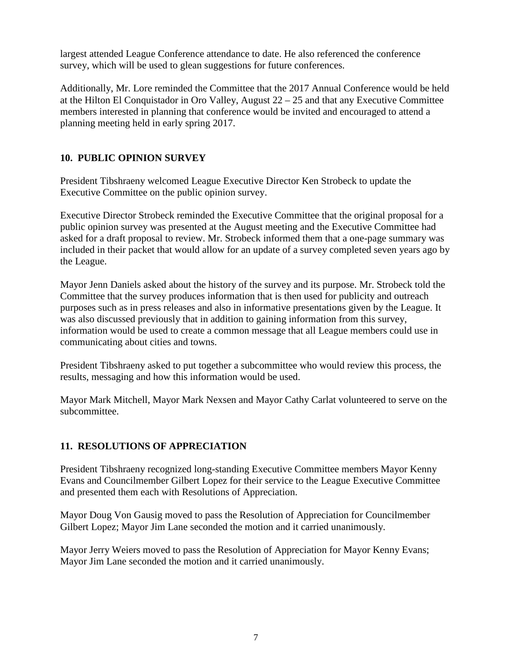largest attended League Conference attendance to date. He also referenced the conference survey, which will be used to glean suggestions for future conferences.

Additionally, Mr. Lore reminded the Committee that the 2017 Annual Conference would be held at the Hilton El Conquistador in Oro Valley, August  $22 - 25$  and that any Executive Committee members interested in planning that conference would be invited and encouraged to attend a planning meeting held in early spring 2017.

# **10. PUBLIC OPINION SURVEY**

President Tibshraeny welcomed League Executive Director Ken Strobeck to update the Executive Committee on the public opinion survey.

Executive Director Strobeck reminded the Executive Committee that the original proposal for a public opinion survey was presented at the August meeting and the Executive Committee had asked for a draft proposal to review. Mr. Strobeck informed them that a one-page summary was included in their packet that would allow for an update of a survey completed seven years ago by the League.

Mayor Jenn Daniels asked about the history of the survey and its purpose. Mr. Strobeck told the Committee that the survey produces information that is then used for publicity and outreach purposes such as in press releases and also in informative presentations given by the League. It was also discussed previously that in addition to gaining information from this survey, information would be used to create a common message that all League members could use in communicating about cities and towns.

President Tibshraeny asked to put together a subcommittee who would review this process, the results, messaging and how this information would be used.

Mayor Mark Mitchell, Mayor Mark Nexsen and Mayor Cathy Carlat volunteered to serve on the subcommittee.

## **11. RESOLUTIONS OF APPRECIATION**

President Tibshraeny recognized long-standing Executive Committee members Mayor Kenny Evans and Councilmember Gilbert Lopez for their service to the League Executive Committee and presented them each with Resolutions of Appreciation.

Mayor Doug Von Gausig moved to pass the Resolution of Appreciation for Councilmember Gilbert Lopez; Mayor Jim Lane seconded the motion and it carried unanimously.

Mayor Jerry Weiers moved to pass the Resolution of Appreciation for Mayor Kenny Evans; Mayor Jim Lane seconded the motion and it carried unanimously.